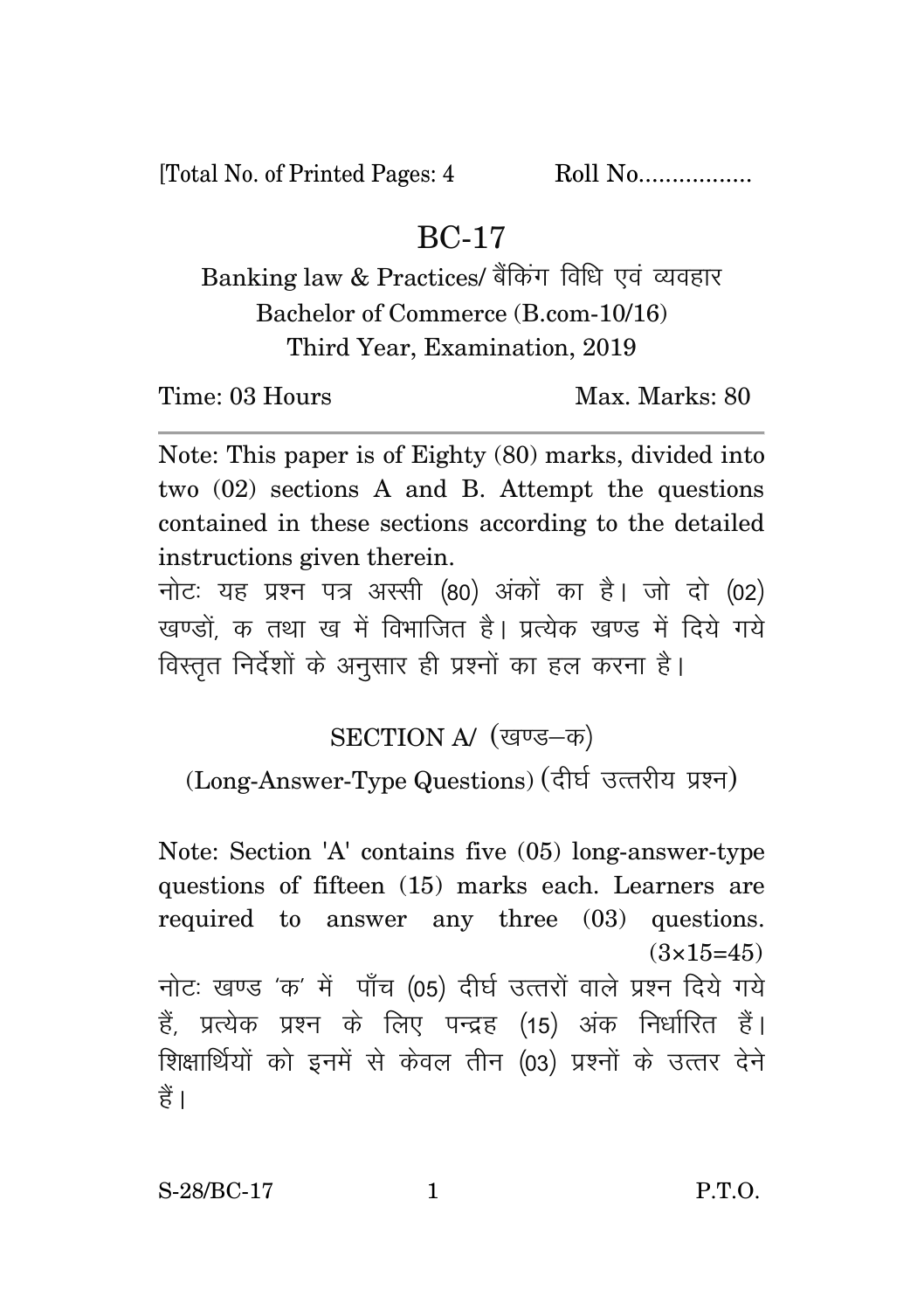[Total No. of Printed Pages: 4 Roll No..................

## BC-17

## Banking law & Practices/ बैंकिंग विधि एवं व्यवहार Bachelor of Commerce (B.com-10/16) Third Year, Examination, 2019

Time: 03 Hours Max. Max. Marks: 80

Note: This paper is of Eighty (80) marks, divided into two (02) sections A and B. Attempt the questions contained in these sections according to the detailed instructions given therein.

नोट: यह प्रश्न पत्र अस्सी (80) अंकों का है। जो दो (02) खण्डों क तथा ख में विभाजित है। प्रत्येक खण्ड में दिये गये विस्तत निर्देशों के अनसार ही प्रश्नों का हल करना है।

SECTION A/ (खण्ड-क)

(Long-Answer-Type Questions) (दीर्घ उत्तरीय प्रश्न)

Note: Section 'A' contains five (05) long-answer-type questions of fifteen (15) marks each. Learners are required to answer any three (03) questions.  $(3\times15=45)$ नोट: खण्ड 'क' में पाँच (05) दीर्घ उत्तरों वाले प्रश्न दिये गये हैं. प्रत्येक प्रश्न के लिए पन्द्रह (15) अंक निर्धारित हैं। शिक्षार्थियों को इनमें से केवल तीन (03) प्रश्नों के उत्तर देने हैं।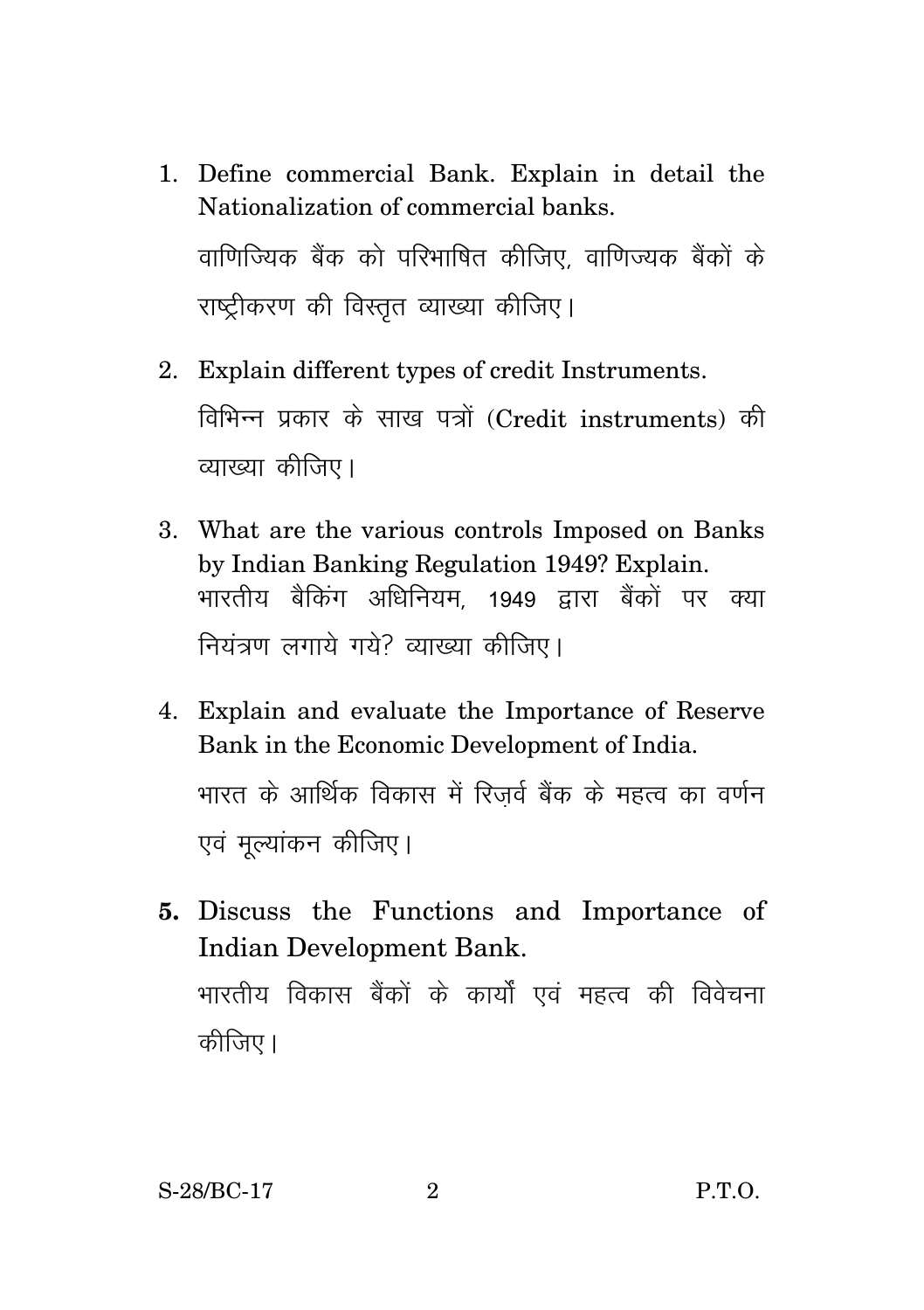- 1. Define commercial Bank. Explain in detail the Nationalization of commercial banks. वाणिज्यिक बैंक को परिभाषित कीजिए वाणिज्यक बैंकों के राष्टीकरण की विस्तृत व्याख्या कीजिए।
- 2. Explain different types of credit Instruments. विभिन्न प्रकार के साख पत्रों (Credit instruments) की व्याख्या कीजिए।
- 3. What are the various controls Imposed on Banks by Indian Banking Regulation 1949? Explain. भारतीय बैकिंग अधिनियम 1949 द्वारा बैंकों पर क्या नियंत्रण लगाये गये? व्याख्या कीजिए।
- 4. Explain and evaluate the Importance of Reserve Bank in the Economic Development of India. भारत के आर्थिक विकास में रिजर्व बैंक के महत्व का वर्णन एवं मुल्यांकन कीजिए।
- **5.** Discuss the Functions and Importance of Indian Development Bank. भारतीय विकास बैंकों के कार्यों एवं महत्व की विवेचना कीजिए।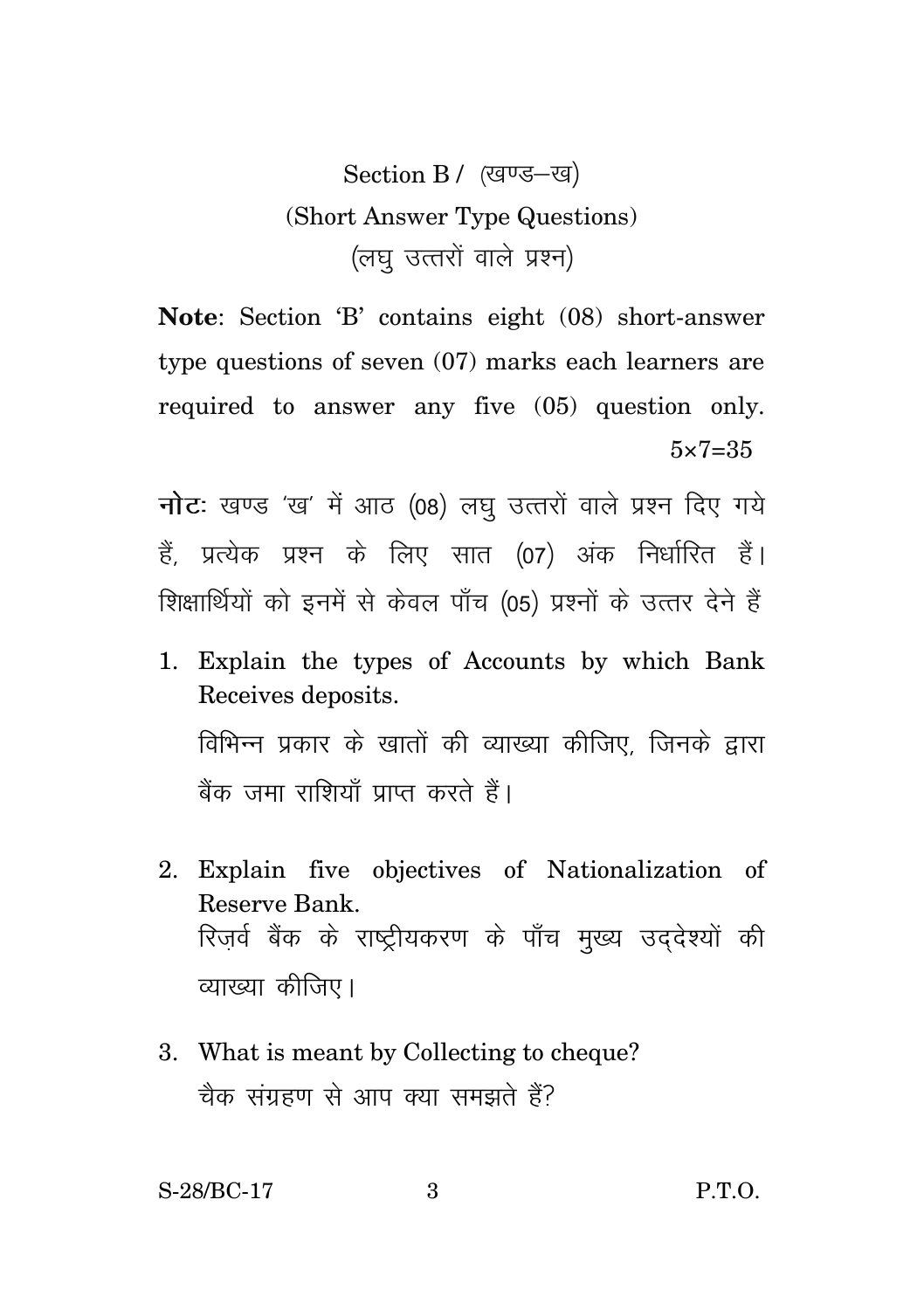Section B / (खण्ड-ख) (Short Answer Type Questions) (लघ उत्तरों वाले प्रश्न)

**Note**: Section 'B' contains eight (08) short-answer type questions of seven (07) marks each learners are required to answer any five (05) question only.  $5 \times 7 = 35$ 

**नोट:** खण्ड 'ख' में आठ (08) लघु उत्तरों वाले प्रश्न दिए गये हैं, प्रत्येक प्रश्न के लिए सात (07) अंक निर्धारित हैं। शिक्षार्थियों को इनमें से केवल पाँच (05) प्रश्नों के उत्तर देने हैं

- 1. Explain the types of Accounts by which Bank Receives deposits. विभिन्न प्रकार के खातों की व्याख्या कीजिए, जिनके द्वारा बैंक जमा राशियाँ प्राप्त करते हैं।
- 2. Explain five objectives of Nationalization of Reserve Bank. रिजर्व बैंक के राष्ट्रीयकरण के पाँच मुख्य उददेश्यों की व्याख्या कीजिए।
- 3. What is meant by Collecting to cheque? चैक संग्रहण से आप क्या समझते हैं?

S-28/BC-17 3 P.T.O.